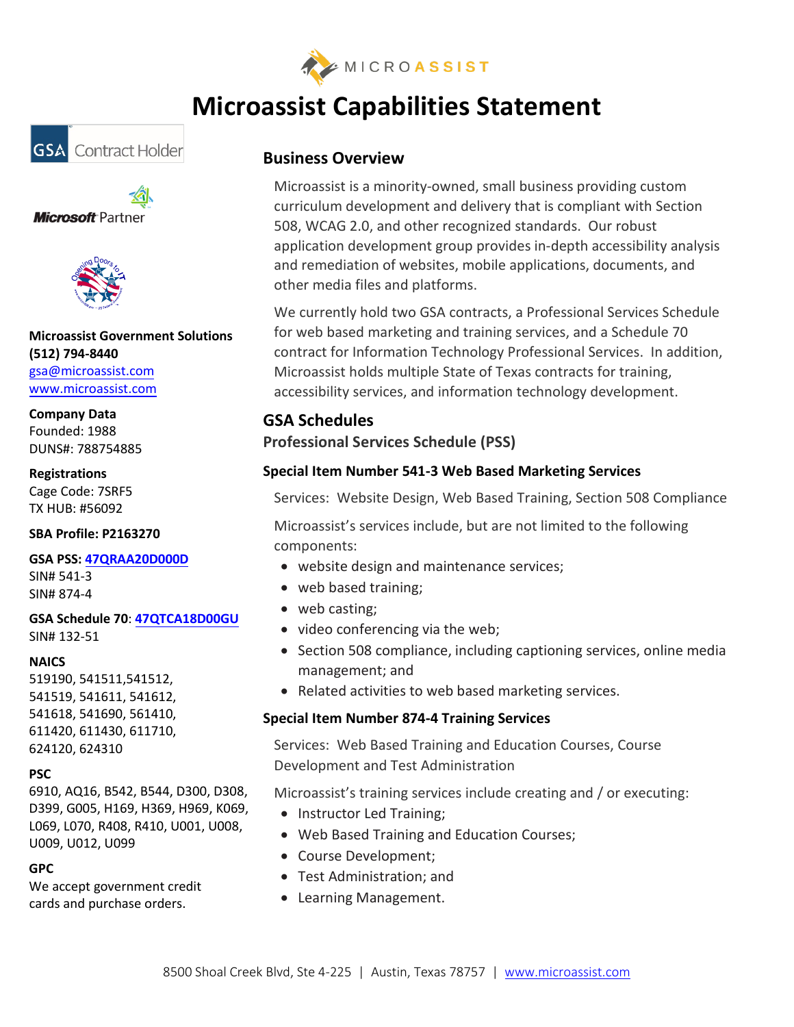

# **Microassist Capabilities Statement**







**Microassist Government Solutions (512) 794-8440**

[gsa@microassist.com](mailto:gsa@microassist.com) [www.microassist.com](http://www.microassist.com/)

**Company Data** Founded: 1988 DUNS#: 788754885

**Registrations** Cage Code: 7SRF5 TX HUB: #56092

**SBA Profile: P2163270**

#### **GSA PSS: [47QRAA20D000D](http://bit.ly/microassist-gsa00CORP)**

SIN# 541-3 SIN# 874-4

#### **GSA Schedule 70**: **[47QTCA18D00GU](https://www.gsaadvantage.gov/ref_text/47QTCA18D00GU/0TDRVP.3NCOUM_47QTCA18D00GU_MICROASSIST47QTCA18D00GU.PDF)** SIN# 132-51

#### **NAICS**

519190, 541511,541512, 541519, 541611, 541612, 541618, 541690, 561410, 611420, 611430, 611710, 624120, 624310

#### **PSC**

6910, AQ16, B542, B544, D300, D308, D399, G005, H169, H369, H969, K069, L069, L070, R408, R410, U001, U008, U009, U012, U099

#### **GPC**

We accept government credit cards and purchase orders.

# **Business Overview**

Microassist is a minority-owned, small business providing custom curriculum development and delivery that is compliant with Section 508, WCAG 2.0, and other recognized standards. Our robust application development group provides in-depth accessibility analysis and remediation of websites, mobile applications, documents, and other media files and platforms.

We currently hold two GSA contracts, a Professional Services Schedule for web based marketing and training services, and a Schedule 70 contract for Information Technology Professional Services. In addition, Microassist holds multiple State of Texas contracts for training, accessibility services, and information technology development.

## **GSA Schedules**

## **Professional Services Schedule (PSS)**

## **Special Item Number 541-3 Web Based Marketing Services**

Services: Website Design, Web Based Training, Section 508 Compliance

Microassist's services include, but are not limited to the following components:

- website design and maintenance services;
- web based training;
- web casting:
- video conferencing via the web;
- Section 508 compliance, including captioning services, online media management; and
- Related activities to web based marketing services.

## **Special Item Number 874-4 Training Services**

Services: Web Based Training and Education Courses, Course Development and Test Administration

Microassist's training services include creating and / or executing:

- Instructor Led Training;
- Web Based Training and Education Courses;
- Course Development;
- Test Administration; and
- Learning Management.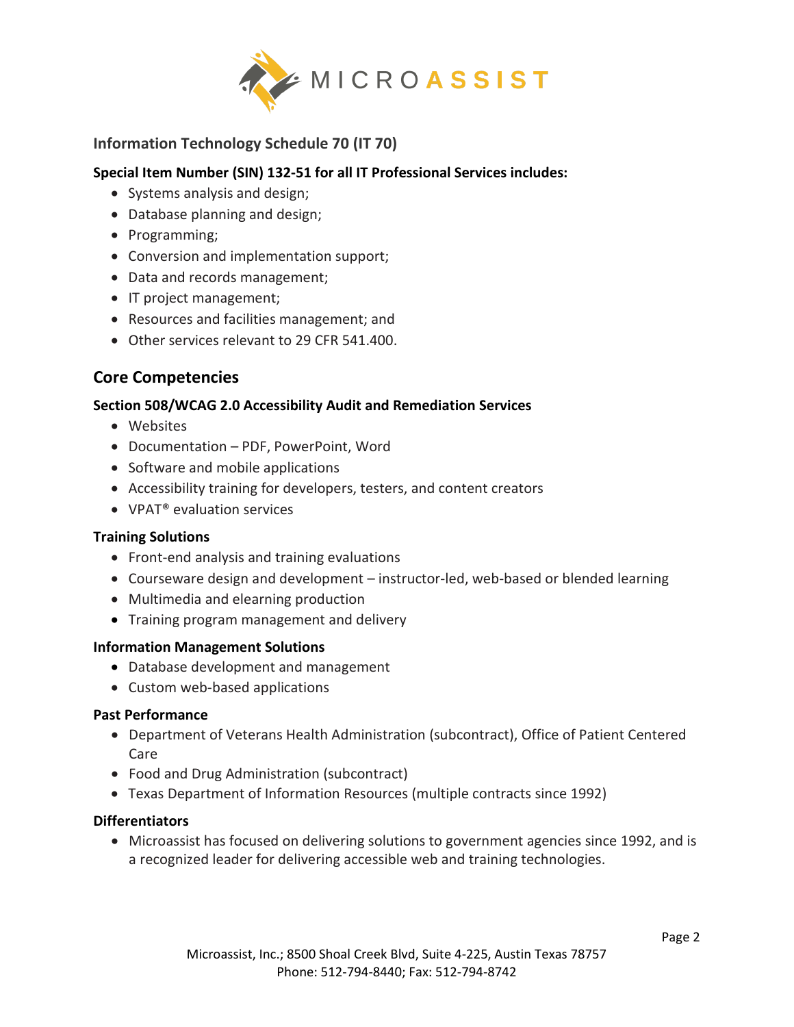

## **Information Technology Schedule 70 (IT 70)**

### **Special Item Number (SIN) 132-51 for all IT Professional Services includes:**

- Systems analysis and design;
- Database planning and design;
- Programming;
- Conversion and implementation support;
- Data and records management;
- IT project management;
- Resources and facilities management; and
- Other services relevant to 29 CFR 541.400.

# **Core Competencies**

## **Section 508/WCAG 2.0 Accessibility Audit and Remediation Services**

- Websites
- Documentation PDF, PowerPoint, Word
- Software and mobile applications
- Accessibility training for developers, testers, and content creators
- VPAT<sup>®</sup> evaluation services

### **Training Solutions**

- Front-end analysis and training evaluations
- Courseware design and development instructor-led, web-based or blended learning
- Multimedia and elearning production
- Training program management and delivery

### **Information Management Solutions**

- Database development and management
- Custom web-based applications

### **Past Performance**

- Department of Veterans Health Administration (subcontract), Office of Patient Centered Care
- Food and Drug Administration (subcontract)
- Texas Department of Information Resources (multiple contracts since 1992)

### **Differentiators**

• Microassist has focused on delivering solutions to government agencies since 1992, and is a recognized leader for delivering accessible web and training technologies.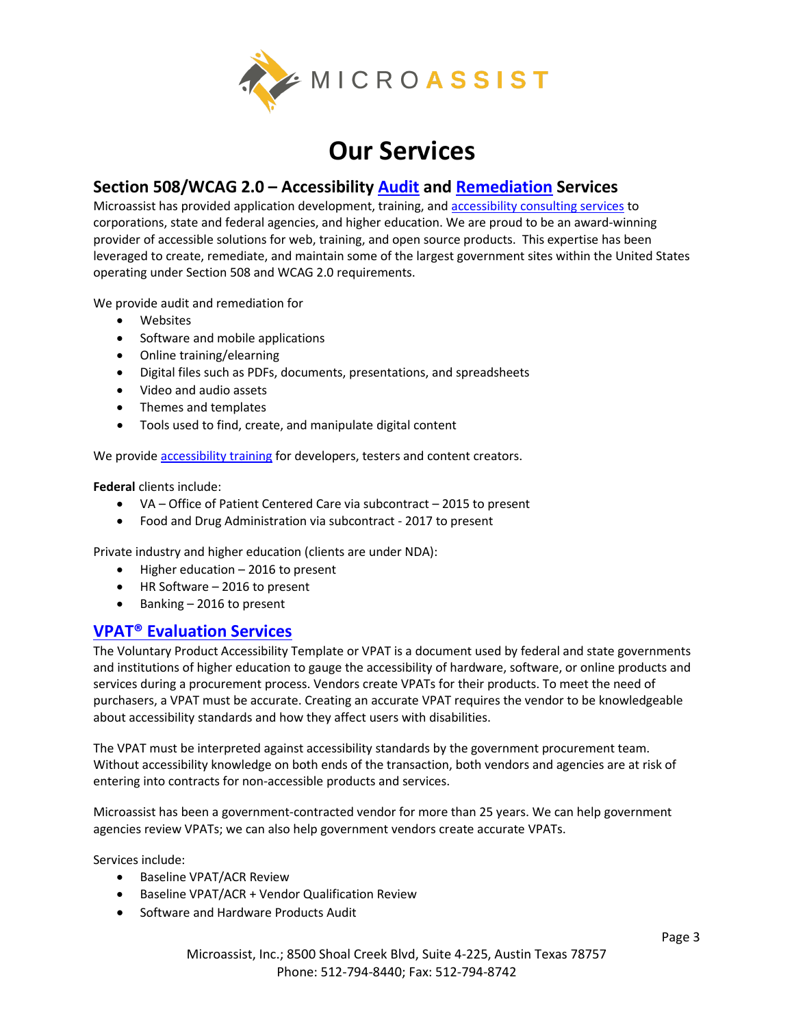

# **Our Services**

## **Section 508/WCAG 2.0 – Accessibility [Audit](https://www.microassist.com/accessibility/accessibility-audit-services/) and [Remediation](https://www.microassist.com/accessibility/accessibility-remediation/) Services**

Microassist has provided application development, training, and [accessibility consulting services](https://www.microassist.com/accessibility/) to corporations, state and federal agencies, and higher education. We are proud to be an award-winning provider of accessible solutions for web, training, and open source products. This expertise has been leveraged to create, remediate, and maintain some of the largest government sites within the United States operating under Section 508 and WCAG 2.0 requirements.

We provide audit and remediation for

- Websites
- Software and mobile applications
- Online training/elearning
- Digital files such as PDFs, documents, presentations, and spreadsheets
- Video and audio assets
- Themes and templates
- Tools used to find, create, and manipulate digital content

We provide **accessibility training** for developers, testers and content creators.

**Federal** clients include:

- VA Office of Patient Centered Care via subcontract 2015 to present
- Food and Drug Administration via subcontract 2017 to present

Private industry and higher education (clients are under NDA):

- Higher education 2016 to present
- HR Software 2016 to present
- Banking 2016 to present

## **[VPAT® Evaluation Services](https://www.microassist.com/accessibility/vpat-evaluation-services/)**

The Voluntary Product Accessibility Template or VPAT is a document used by federal and state governments and institutions of higher education to gauge the accessibility of hardware, software, or online products and services during a procurement process. Vendors create VPATs for their products. To meet the need of purchasers, a VPAT must be accurate. Creating an accurate VPAT requires the vendor to be knowledgeable about accessibility standards and how they affect users with disabilities.

The VPAT must be interpreted against accessibility standards by the government procurement team. Without accessibility knowledge on both ends of the transaction, both vendors and agencies are at risk of entering into contracts for non-accessible products and services.

Microassist has been a government-contracted vendor for more than 25 years. We can help government agencies review VPATs; we can also help government vendors create accurate VPATs.

Services include:

- Baseline VPAT/ACR Review
- Baseline VPAT/ACR + Vendor Qualification Review
- Software and Hardware Products Audit